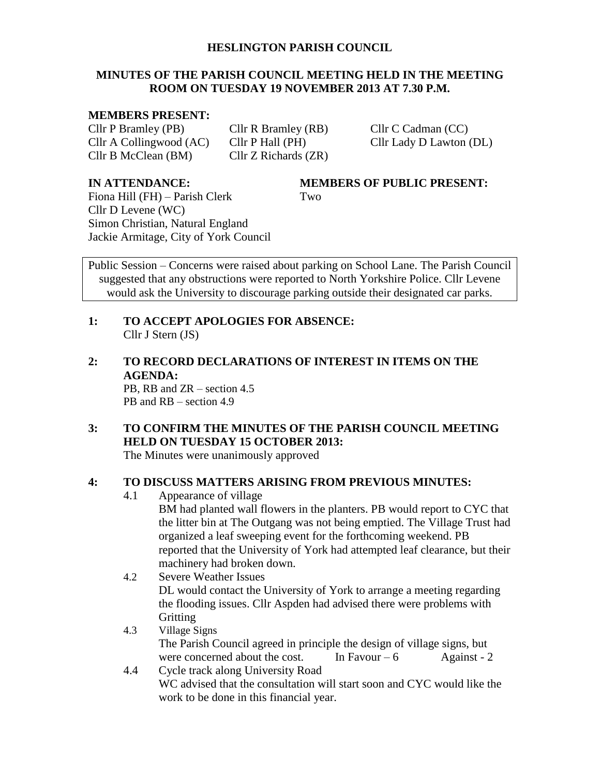### **HESLINGTON PARISH COUNCIL**

### **MINUTES OF THE PARISH COUNCIL MEETING HELD IN THE MEETING ROOM ON TUESDAY 19 NOVEMBER 2013 AT 7.30 P.M.**

# **MEMBERS PRESENT:**

Cllr P Bramley (PB) Cllr R Bramley (RB) Cllr C Cadman (CC) Cllr A Collingwood (AC) Cllr P Hall (PH) Cllr Lady D Lawton (DL) Cllr B McClean (BM) Cllr Z Richards (ZR)

**IN ATTENDANCE: MEMBERS OF PUBLIC PRESENT:**

Fiona Hill (FH) – Parish Clerk Two Cllr D Levene (WC) Simon Christian, Natural England Jackie Armitage, City of York Council

Public Session – Concerns were raised about parking on School Lane. The Parish Council suggested that any obstructions were reported to North Yorkshire Police. Cllr Levene would ask the University to discourage parking outside their designated car parks.

- **1: TO ACCEPT APOLOGIES FOR ABSENCE:** Cllr J Stern (JS)
- **2: TO RECORD DECLARATIONS OF INTEREST IN ITEMS ON THE AGENDA:**

PB, RB and ZR – section 4.5 PB and RB – section 4.9

# **3: TO CONFIRM THE MINUTES OF THE PARISH COUNCIL MEETING HELD ON TUESDAY 15 OCTOBER 2013:**

The Minutes were unanimously approved

# **4: TO DISCUSS MATTERS ARISING FROM PREVIOUS MINUTES:**

- 4.1 Appearance of village BM had planted wall flowers in the planters. PB would report to CYC that the litter bin at The Outgang was not being emptied. The Village Trust had organized a leaf sweeping event for the forthcoming weekend. PB reported that the University of York had attempted leaf clearance, but their machinery had broken down.
- 4.2 Severe Weather Issues DL would contact the University of York to arrange a meeting regarding the flooding issues. Cllr Aspden had advised there were problems with Gritting
- 4.3 Village Signs The Parish Council agreed in principle the design of village signs, but were concerned about the cost. In Favour –  $6$  Against - 2
- 4.4 Cycle track along University Road WC advised that the consultation will start soon and CYC would like the work to be done in this financial year.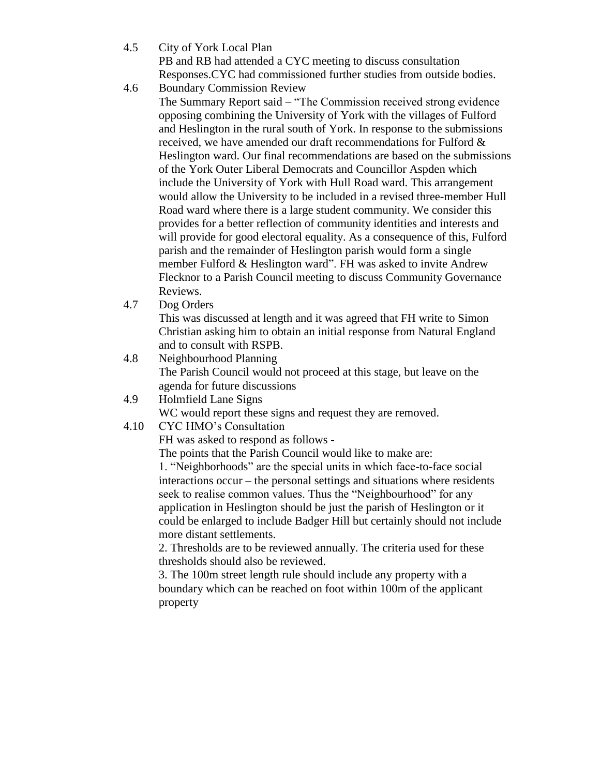- 4.5 City of York Local Plan PB and RB had attended a CYC meeting to discuss consultation Responses.CYC had commissioned further studies from outside bodies.
- 4.6 Boundary Commission Review The Summary Report said – "The Commission received strong evidence opposing combining the University of York with the villages of Fulford and Heslington in the rural south of York. In response to the submissions received, we have amended our draft recommendations for Fulford & Heslington ward. Our final recommendations are based on the submissions of the York Outer Liberal Democrats and Councillor Aspden which include the University of York with Hull Road ward. This arrangement would allow the University to be included in a revised three-member Hull Road ward where there is a large student community. We consider this provides for a better reflection of community identities and interests and will provide for good electoral equality. As a consequence of this, Fulford parish and the remainder of Heslington parish would form a single member Fulford & Heslington ward". FH was asked to invite Andrew Flecknor to a Parish Council meeting to discuss Community Governance Reviews.
- 4.7 Dog Orders

This was discussed at length and it was agreed that FH write to Simon Christian asking him to obtain an initial response from Natural England and to consult with RSPB.

- 4.8 Neighbourhood Planning The Parish Council would not proceed at this stage, but leave on the agenda for future discussions
- 4.9 Holmfield Lane Signs

WC would report these signs and request they are removed.

4.10 CYC HMO's Consultation

FH was asked to respond as follows -

The points that the Parish Council would like to make are:

1. "Neighborhoods" are the special units in which face-to-face social interactions occur – the personal settings and situations where residents seek to realise common values. Thus the "Neighbourhood" for any application in Heslington should be just the parish of Heslington or it could be enlarged to include Badger Hill but certainly should not include more distant settlements.

2. Thresholds are to be reviewed annually. The criteria used for these thresholds should also be reviewed.

3. The 100m street length rule should include any property with a boundary which can be reached on foot within 100m of the applicant property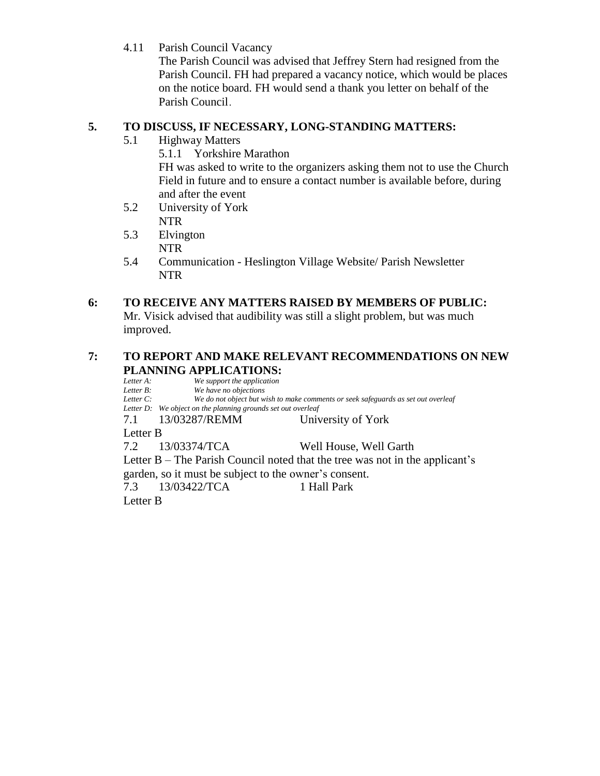4.11 Parish Council Vacancy

The Parish Council was advised that Jeffrey Stern had resigned from the Parish Council. FH had prepared a vacancy notice, which would be places on the notice board. FH would send a thank you letter on behalf of the Parish Council*.*

# **5. TO DISCUSS, IF NECESSARY, LONG-STANDING MATTERS:**

5.1 Highway Matters

5.1.1 Yorkshire Marathon

FH was asked to write to the organizers asking them not to use the Church Field in future and to ensure a contact number is available before, during and after the event

- 5.2 University of York NTR
- 5.3 Elvington NTR
- 5.4 Communication Heslington Village Website/ Parish Newsletter NTR

### **6: TO RECEIVE ANY MATTERS RAISED BY MEMBERS OF PUBLIC:**

Mr. Visick advised that audibility was still a slight problem, but was much improved.

# **7: TO REPORT AND MAKE RELEVANT RECOMMENDATIONS ON NEW**

**PLANNING APPLICATIONS:**<br>*Letter A:* We support the application *We support the application Letter B: We have no objections* We do not object but wish to make comments or seek safeguards as set out overleaf *Letter D: We object on the planning grounds set out overleaf* 7.1 13/03287/REMM University of York Letter B 7.2 13/03374/TCA Well House, Well Garth Letter B – The Parish Council noted that the tree was not in the applicant's garden, so it must be subject to the owner's consent.

7.3 13/03422/TCA 1 Hall Park

Letter B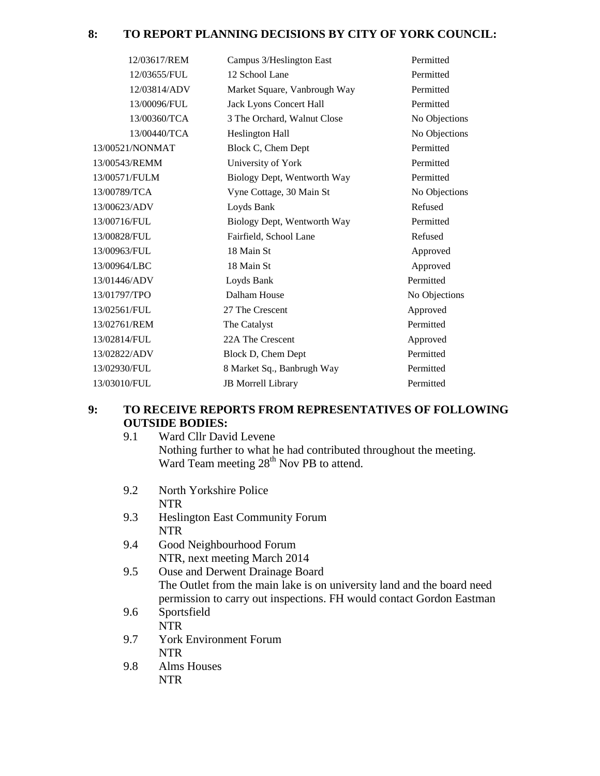### **8: TO REPORT PLANNING DECISIONS BY CITY OF YORK COUNCIL:**

| 12/03617/REM    | Campus 3/Heslington East     | Permitted     |
|-----------------|------------------------------|---------------|
| 12/03655/FUL    | 12 School Lane               | Permitted     |
| 12/03814/ADV    | Market Square, Vanbrough Way | Permitted     |
| 13/00096/FUL    | Jack Lyons Concert Hall      | Permitted     |
| 13/00360/TCA    | 3 The Orchard, Walnut Close  | No Objections |
| 13/00440/TCA    | <b>Heslington Hall</b>       | No Objections |
| 13/00521/NONMAT | Block C, Chem Dept           | Permitted     |
| 13/00543/REMM   | University of York           | Permitted     |
| 13/00571/FULM   | Biology Dept, Wentworth Way  | Permitted     |
| 13/00789/TCA    | Vyne Cottage, 30 Main St     | No Objections |
| 13/00623/ADV    | Loyds Bank                   | Refused       |
| 13/00716/FUL    | Biology Dept, Wentworth Way  | Permitted     |
| 13/00828/FUL    | Fairfield, School Lane       | Refused       |
| 13/00963/FUL    | 18 Main St                   | Approved      |
| 13/00964/LBC    | 18 Main St                   | Approved      |
| 13/01446/ADV    | Loyds Bank                   | Permitted     |
| 13/01797/TPO    | Dalham House                 | No Objections |
| 13/02561/FUL    | 27 The Crescent              | Approved      |
| 13/02761/REM    | The Catalyst                 | Permitted     |
| 13/02814/FUL    | 22A The Crescent             | Approved      |
| 13/02822/ADV    | Block D, Chem Dept           | Permitted     |
| 13/02930/FUL    | 8 Market Sq., Banbrugh Way   | Permitted     |
| 13/03010/FUL    | JB Morrell Library           | Permitted     |

### **9: TO RECEIVE REPORTS FROM REPRESENTATIVES OF FOLLOWING OUTSIDE BODIES:**

| 9.1 | Ward Cllr David Levene                                             |
|-----|--------------------------------------------------------------------|
|     | Nothing further to what he had contributed throughout the meeting. |
|     | Ward Team meeting $28th$ Nov PB to attend.                         |

- 9.2 North Yorkshire Police NTR
- 9.3 Heslington East Community Forum NTR
- 9.4 Good Neighbourhood Forum NTR, next meeting March 2014
- 9.5 Ouse and Derwent Drainage Board The Outlet from the main lake is on university land and the board need permission to carry out inspections. FH would contact Gordon Eastman
- 9.6 Sportsfield NTR
- 9.7 York Environment Forum NTR
- 9.8 Alms Houses NTR